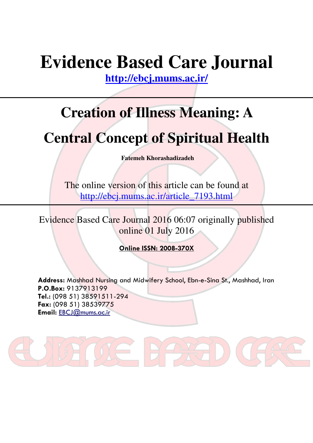# **Evidence Based Care Journal**

**http://ebcj.mums.ac.ir/**

## **Creation of Illness Meaning: A**

## **Central Concept of Spiritual Health**

**Fatemeh Khorashadizadeh** 

The online version of this article can be found at http://ebcj.mums.ac.ir/article\_7193.html

Evidence Based Care Journal 2016 06:07 originally published online 01 July 2016

Online ISSN: 2008-370X

Address: Mashhad Nursing and Midwifery School, Ebn-e-Sina St., Mashhad, Iran P.O.Box: 9137913199 Tel.: (098 51) 38591511-294 Fax: (098 51) 38539775 Email: EBCJ@mums.ac.ir

AXT

**DE RE**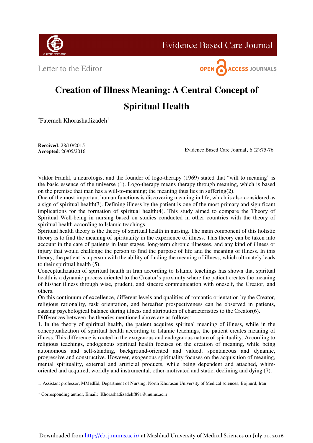

**Evidence Based Care Journal** 

Letter to the Editor



#### **Creation of Illness Meaning: A Central Concept of Spiritual Health**

 $*$ Fatemeh Khorashadizadeh<sup>1</sup>

**Received**: 28/10/2015  **Accepted**: 26/05/2016

Evidence Based Care Journal, 6 (2):75-76

Viktor Frankl, a neurologist and the founder of logo-therapy (1969) stated that "will to meaning" is the basic essence of the universe (1). Logo-therapy means therapy through meaning, which is based on the premise that man has a will-to-meaning; the meaning thus lies in suffering(2).

One of the most important human functions is discovering meaning in life, which is also considered as a sign of spiritual health(3). Defining illness by the patient is one of the most primary and significant implications for the formation of spiritual health(4). This study aimed to compare the Theory of Spiritual Well-being in nursing based on studies conducted in other countries with the theory of spiritual health according to Islamic teachings.

Spiritual health theory is the theory of spiritual health in nursing. The main component of this holistic theory is to find the meaning of spirituality in the experience of illness. This theory can be taken into account in the care of patients in later stages, long-term chronic illnesses, and any kind of illness or injury that would challenge the person to find the purpose of life and the meaning of illness. In this theory, the patient is a person with the ability of finding the meaning of illness, which ultimately leads to their spiritual health (5).

Conceptualization of spiritual health in Iran according to Islamic teachings has shown that spiritual health is a dynamic process oriented to the Creator's proximity where the patient creates the meaning of his/her illness through wise, prudent, and sincere communication with oneself, the Creator, and others.

On this continuum of excellence, different levels and qualities of romantic orientation by the Creator, religious rationality, task orientation, and hereafter prospectiveness can be observed in patients, causing psychological balance during illness and attribution of characteristics to the Creator(6). Differences between the theories mentioned above are as follows:

1. In the theory of spiritual health, the patient acquires spiritual meaning of illness, while in the conceptualization of spiritual health according to Islamic teachings, the patient creates meaning of illness. This difference is rooted in the exogenous and endogenous nature of spirituality. According to religious teachings, endogenous spiritual health focuses on the creation of meaning, while being autonomous and self-standing, background-oriented and valued, spontaneous and dynamic, progressive and constructive. However, exogenous spirituality focuses on the acquisition of meaning, mental spirituality, external and artificial products, while being dependent and attached, whimoriented and acquired, worldly and instrumental, other-motivated and static, declining and dying (7).

1. Assistant professor, MMedEd, Department of Nursing, North Khorasan University of Medical sciences, Bojnurd, Iran

\* Corresponding author, Email: Khorashadizadehf891@mums.ac.ir